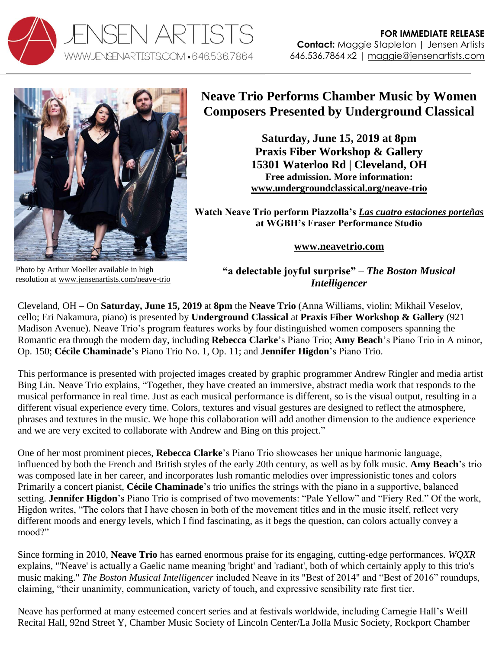



## **Neave Trio Performs Chamber Music by Women Composers Presented by Underground Classical**

**Saturday, June 15, 2019 at 8pm Praxis Fiber Workshop & Gallery 15301 Waterloo Rd | Cleveland, OH Free admission. More information: [www.undergroundclassical.org/neave-trio](http://www.undergroundclassical.org/neave-trio)**

**Watch Neave Trio perform Piazzolla's** *[Las cuatro estaciones porteñas](https://youtu.be/Xs3a6h4OV-E)* **at WGBH's Fraser Performance Studio**

**[www.neavetrio.com](http://www.neavetrio.com/)**

Photo by Arthur Moeller available in high resolution at [www.jensenartists.com/neave-trio](http://www.jensenartists.com/neave-trio)

**"a delectable joyful surprise" –** *The Boston Musical Intelligencer*

Cleveland, OH – On **Saturday, June 15, 2019** at **8pm** the **Neave Trio** (Anna Williams, violin; Mikhail Veselov, cello; Eri Nakamura, piano) is presented by **Underground Classical** at **Praxis Fiber Workshop & Gallery** (921 Madison Avenue). Neave Trio's program features works by four distinguished women composers spanning the Romantic era through the modern day, including **Rebecca Clarke**'s Piano Trio; **Amy Beach**'s Piano Trio in A minor, Op. 150; **Cécile Chaminade**'s Piano Trio No. 1, Op. 11; and **Jennifer Higdon**'s Piano Trio.

This performance is presented with projected images created by graphic programmer Andrew Ringler and media artist Bing Lin. Neave Trio explains, "Together, they have created an immersive, abstract media work that responds to the musical performance in real time. Just as each musical performance is different, so is the visual output, resulting in a different visual experience every time. Colors, textures and visual gestures are designed to reflect the atmosphere, phrases and textures in the music. We hope this collaboration will add another dimension to the audience experience and we are very excited to collaborate with Andrew and Bing on this project."

One of her most prominent pieces, **Rebecca Clarke**'s Piano Trio showcases her unique harmonic language, influenced by both the French and British styles of the early 20th century, as well as by folk music. **Amy Beach**'s trio was composed late in her career, and incorporates lush romantic melodies over impressionistic tones and colors Primarily a concert pianist, **Cécile Chaminade**'s trio unifies the strings with the piano in a supportive, balanced setting. **Jennifer Higdon**'s Piano Trio is comprised of two movements: "Pale Yellow" and "Fiery Red." Of the work, Higdon writes, "The colors that I have chosen in both of the movement titles and in the music itself, reflect very different moods and energy levels, which I find fascinating, as it begs the question, can colors actually convey a mood?"

Since forming in 2010, **Neave Trio** has earned enormous praise for its engaging, cutting-edge performances. *WQXR*  explains, "'Neave' is actually a Gaelic name meaning 'bright' and 'radiant', both of which certainly apply to this trio's music making." *The Boston Musical Intelligencer* included Neave in its "Best of 2014" and "Best of 2016" roundups, claiming, "their unanimity, communication, variety of touch, and expressive sensibility rate first tier.

Neave has performed at many esteemed concert series and at festivals worldwide, including Carnegie Hall's Weill Recital Hall, 92nd Street Y, Chamber Music Society of Lincoln Center/La Jolla Music Society, Rockport Chamber